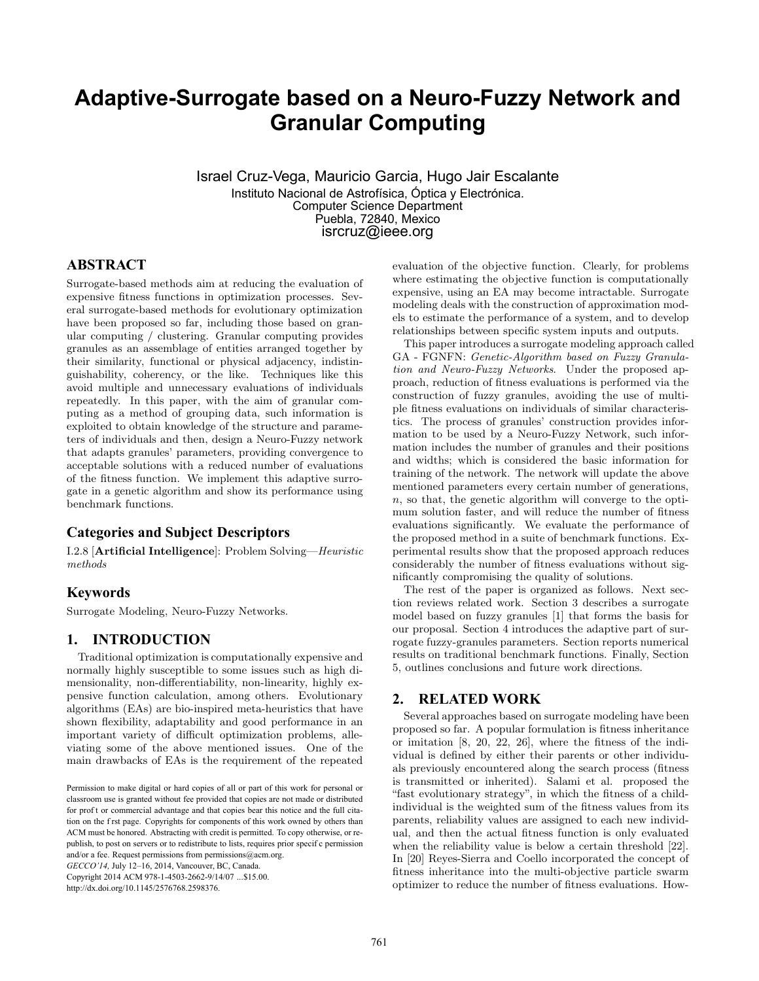# **Adaptive-Surrogate based on a Neuro-Fuzzy Network and Granular Computing**

Israel Cruz-Vega, Mauricio Garcia, Hugo Jair Escalante Instituto Nacional de Astrofísica, Óptica y Electrónica. Computer Science Department Puebla, 72840, Mexico isrcruz@ieee.org

# **ABSTRACT**

Surrogate-based methods aim at reducing the evaluation of expensive fitness functions in optimization processes. Several surrogate-based methods for evolutionary optimization have been proposed so far, including those based on granular computing / clustering. Granular computing provides granules as an assemblage of entities arranged together by their similarity, functional or physical adjacency, indistinguishability, coherency, or the like. Techniques like this avoid multiple and unnecessary evaluations of individuals repeatedly. In this paper, with the aim of granular computing as a method of grouping data, such information is exploited to obtain knowledge of the structure and parameters of individuals and then, design a Neuro-Fuzzy network that adapts granules' parameters, providing convergence to acceptable solutions with a reduced number of evaluations of the fitness function. We implement this adaptive surrogate in a genetic algorithm and show its performance using benchmark functions.

## **Categories and Subject Descriptors**

I.2.8 [Artificial Intelligence]: Problem Solving—Heuristic methods

# **Keywords**

Surrogate Modeling, Neuro-Fuzzy Networks.

# **1. INTRODUCTION**

Traditional optimization is computationally expensive and normally highly susceptible to some issues such as high dimensionality, non-differentiability, non-linearity, highly expensive function calculation, among others. Evolutionary algorithms (EAs) are bio-inspired meta-heuristics that have shown flexibility, adaptability and good performance in an important variety of difficult optimization problems, alleviating some of the above mentioned issues. One of the main drawbacks of EAs is the requirement of the repeated

*GECCO'14,* July 12–16, 2014, Vancouver, BC, Canada. Copyright 2014 ACM 978-1-4503-2662-9/14/07 ...\$15.00.

http://dx.doi.org/10.1145/2576768.2598376.

evaluation of the objective function. Clearly, for problems where estimating the objective function is computationally expensive, using an EA may become intractable. Surrogate modeling deals with the construction of approximation models to estimate the performance of a system, and to develop relationships between specific system inputs and outputs.

This paper introduces a surrogate modeling approach called GA - FGNFN: Genetic-Algorithm based on Fuzzy Granulation and Neuro-Fuzzy Networks. Under the proposed approach, reduction of fitness evaluations is performed via the construction of fuzzy granules, avoiding the use of multiple fitness evaluations on individuals of similar characteristics. The process of granules' construction provides information to be used by a Neuro-Fuzzy Network, such information includes the number of granules and their positions and widths; which is considered the basic information for training of the network. The network will update the above mentioned parameters every certain number of generations, n, so that, the genetic algorithm will converge to the optimum solution faster, and will reduce the number of fitness evaluations significantly. We evaluate the performance of the proposed method in a suite of benchmark functions. Experimental results show that the proposed approach reduces considerably the number of fitness evaluations without significantly compromising the quality of solutions.

The rest of the paper is organized as follows. Next section reviews related work. Section 3 describes a surrogate model based on fuzzy granules [1] that forms the basis for our proposal. Section 4 introduces the adaptive part of surrogate fuzzy-granules parameters. Section reports numerical results on traditional benchmark functions. Finally, Section 5, outlines conclusions and future work directions.

## **2. RELATED WORK**

Several approaches based on surrogate modeling have been proposed so far. A popular formulation is fitness inheritance or imitation [8, 20, 22, 26], where the fitness of the individual is defined by either their parents or other individuals previously encountered along the search process (fitness is transmitted or inherited). Salami et al. proposed the "fast evolutionary strategy", in which the fitness of a childindividual is the weighted sum of the fitness values from its parents, reliability values are assigned to each new individual, and then the actual fitness function is only evaluated when the reliability value is below a certain threshold [22]. In [20] Reyes-Sierra and Coello incorporated the concept of fitness inheritance into the multi-objective particle swarm optimizer to reduce the number of fitness evaluations. How-

Permission to make digital or hard copies of all or part of this work for personal or classroom use is granted without fee provided that copies are not made or distributed for prof t or commercial advantage and that copies bear this notice and the full citation on the f rst page. Copyrights for components of this work owned by others than ACM must be honored. Abstracting with credit is permitted. To copy otherwise, or republish, to post on servers or to redistribute to lists, requires prior specif c permission and/or a fee. Request permissions from permissions@acm.org.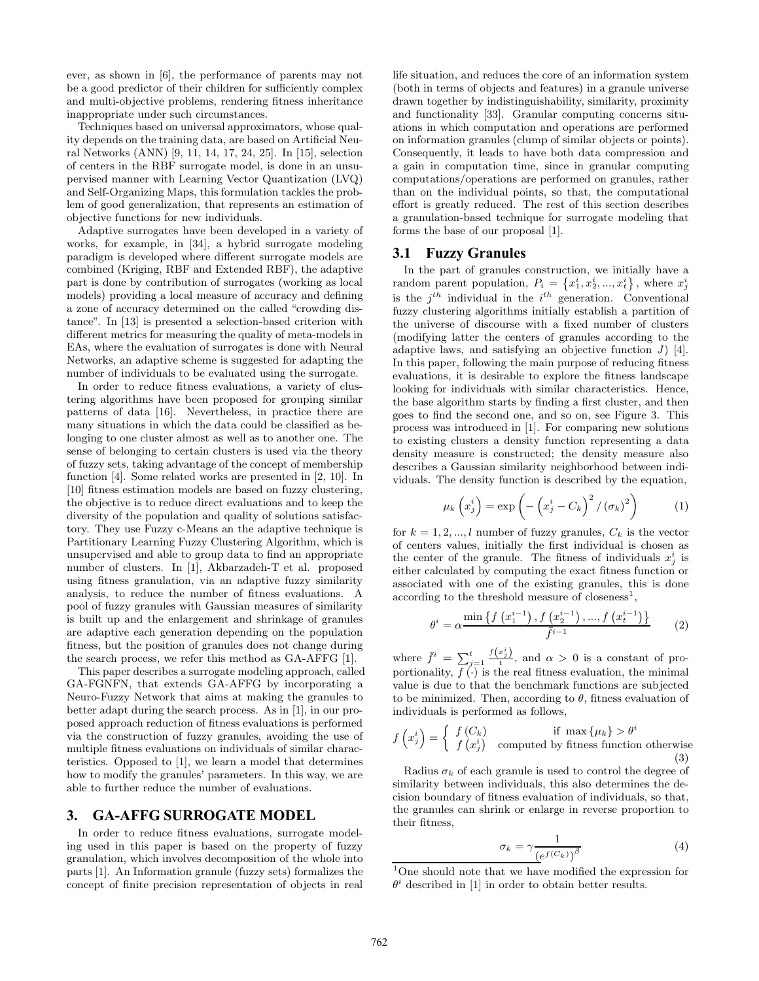ever, as shown in [6], the performance of parents may not be a good predictor of their children for sufficiently complex and multi-objective problems, rendering fitness inheritance inappropriate under such circumstances.

Techniques based on universal approximators, whose quality depends on the training data, are based on Artificial Neural Networks (ANN) [9, 11, 14, 17, 24, 25]. In [15], selection of centers in the RBF surrogate model, is done in an unsupervised manner with Learning Vector Quantization (LVQ) and Self-Organizing Maps, this formulation tackles the problem of good generalization, that represents an estimation of objective functions for new individuals.

Adaptive surrogates have been developed in a variety of works, for example, in [34], a hybrid surrogate modeling paradigm is developed where different surrogate models are combined (Kriging, RBF and Extended RBF), the adaptive part is done by contribution of surrogates (working as local models) providing a local measure of accuracy and defining a zone of accuracy determined on the called "crowding distance". In [13] is presented a selection-based criterion with different metrics for measuring the quality of meta-models in EAs, where the evaluation of surrogates is done with Neural Networks, an adaptive scheme is suggested for adapting the number of individuals to be evaluated using the surrogate.

In order to reduce fitness evaluations, a variety of clustering algorithms have been proposed for grouping similar patterns of data [16]. Nevertheless, in practice there are many situations in which the data could be classified as belonging to one cluster almost as well as to another one. The sense of belonging to certain clusters is used via the theory of fuzzy sets, taking advantage of the concept of membership function [4]. Some related works are presented in [2, 10]. In [10] fitness estimation models are based on fuzzy clustering, the objective is to reduce direct evaluations and to keep the diversity of the population and quality of solutions satisfactory. They use Fuzzy c-Means an the adaptive technique is Partitionary Learning Fuzzy Clustering Algorithm, which is unsupervised and able to group data to find an appropriate number of clusters. In [1], Akbarzadeh-T et al. proposed using fitness granulation, via an adaptive fuzzy similarity analysis, to reduce the number of fitness evaluations. A pool of fuzzy granules with Gaussian measures of similarity is built up and the enlargement and shrinkage of granules are adaptive each generation depending on the population fitness, but the position of granules does not change during the search process, we refer this method as GA-AFFG [1].

This paper describes a surrogate modeling approach, called GA-FGNFN, that extends GA-AFFG by incorporating a Neuro-Fuzzy Network that aims at making the granules to better adapt during the search process. As in [1], in our proposed approach reduction of fitness evaluations is performed via the construction of fuzzy granules, avoiding the use of multiple fitness evaluations on individuals of similar characteristics. Opposed to [1], we learn a model that determines how to modify the granules' parameters. In this way, we are able to further reduce the number of evaluations.

#### **3. GA-AFFG SURROGATE MODEL**

In order to reduce fitness evaluations, surrogate modeling used in this paper is based on the property of fuzzy granulation, which involves decomposition of the whole into parts [1]. An Information granule (fuzzy sets) formalizes the concept of finite precision representation of objects in real

life situation, and reduces the core of an information system (both in terms of objects and features) in a granule universe drawn together by indistinguishability, similarity, proximity and functionality [33]. Granular computing concerns situations in which computation and operations are performed on information granules (clump of similar objects or points). Consequently, it leads to have both data compression and a gain in computation time, since in granular computing computations/operations are performed on granules, rather than on the individual points, so that, the computational effort is greatly reduced. The rest of this section describes a granulation-based technique for surrogate modeling that forms the base of our proposal [1].

#### **3.1 Fuzzy Granules**

In the part of granules construction, we initially have a random parent population,  $P_i = \{x_1^i, x_2^i, ..., x_t^i\}$ , where  $x_j^i$ is the  $j^{th}$  individual in the  $i^{th}$  generation. Conventional fuzzy clustering algorithms initially establish a partition of the universe of discourse with a fixed number of clusters (modifying latter the centers of granules according to the adaptive laws, and satisfying an objective function  $J$  [4]. In this paper, following the main purpose of reducing fitness evaluations, it is desirable to explore the fitness landscape looking for individuals with similar characteristics. Hence, the base algorithm starts by finding a first cluster, and then goes to find the second one, and so on, see Figure 3. This process was introduced in [1]. For comparing new solutions to existing clusters a density function representing a data density measure is constructed; the density measure also describes a Gaussian similarity neighborhood between individuals. The density function is described by the equation,

$$
\mu_k\left(x_j^i\right) = \exp\left(-\left(x_j^i - C_k\right)^2 / \left(\sigma_k\right)^2\right) \tag{1}
$$

for  $k = 1, 2, ..., l$  number of fuzzy granules,  $C_k$  is the vector of centers values, initially the first individual is chosen as the center of the granule. The fitness of individuals  $x_j^i$  is either calculated by computing the exact fitness function or associated with one of the existing granules, this is done according to the threshold measure of closeness<sup>1</sup>,

$$
\theta^{i} = \alpha \frac{\min\left\{f\left(x_{1}^{i-1}\right), f\left(x_{2}^{i-1}\right), \dots, f\left(x_{t}^{i-1}\right)\right\}}{\bar{f}^{i-1}} \tag{2}
$$

where  $\bar{f}^i = \sum_{j=1}^t \frac{f(x_j^i)}{t}$ , and  $\alpha > 0$  is a constant of proportionality,  $f(\cdot)$  is the real fitness evaluation, the minimal value is due to that the benchmark functions are subjected to be minimized. Then, according to  $\theta$ , fitness evaluation of individuals is performed as follows,

$$
f\left(x_j^i\right) = \begin{cases} f\left(C_k\right) & \text{if } \max\left\{\mu_k\right\} > \theta^i\\ f\left(x_j^i\right) & \text{computed by fitness function otherwise} \end{cases}
$$
\n(3)

Radius  $\sigma_k$  of each granule is used to control the degree of similarity between individuals, this also determines the decision boundary of fitness evaluation of individuals, so that, the granules can shrink or enlarge in reverse proportion to their fitness,

$$
\sigma_k = \gamma \frac{1}{\left(e^{f(C_k)}\right)^{\beta}}\tag{4}
$$

<sup>1</sup>One should note that we have modified the expression for  $\theta^i$  described in [1] in order to obtain better results.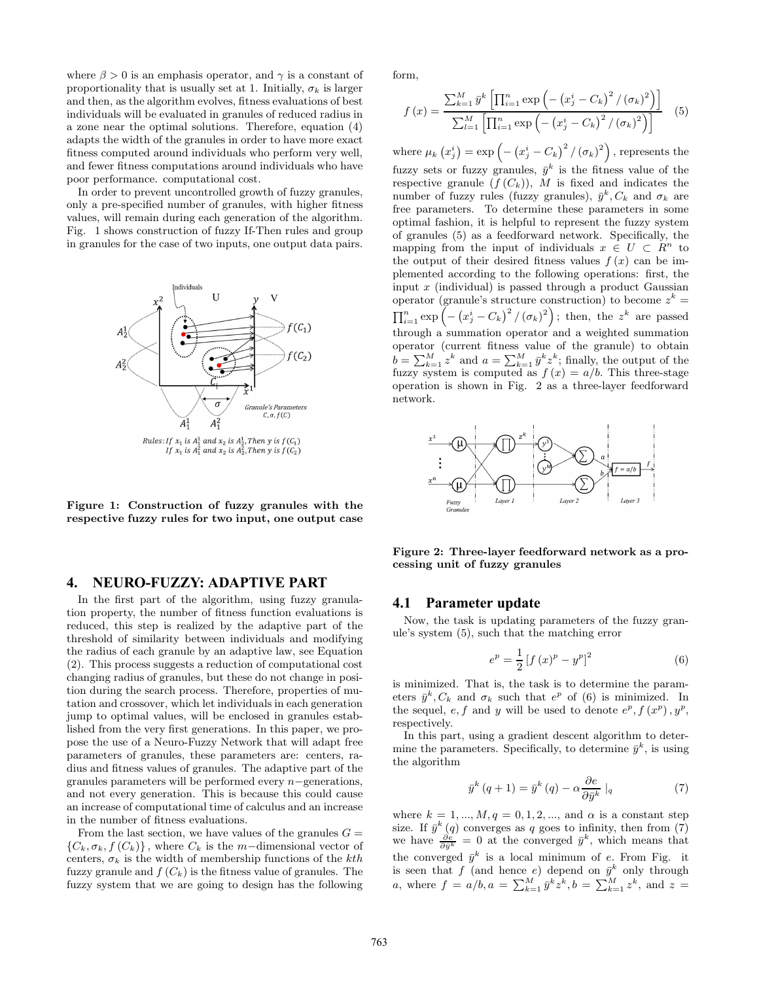where  $\beta > 0$  is an emphasis operator, and  $\gamma$  is a constant of proportionality that is usually set at 1. Initially,  $\sigma_k$  is larger and then, as the algorithm evolves, fitness evaluations of best individuals will be evaluated in granules of reduced radius in a zone near the optimal solutions. Therefore, equation (4) adapts the width of the granules in order to have more exact fitness computed around individuals who perform very well, and fewer fitness computations around individuals who have poor performance. computational cost.

In order to prevent uncontrolled growth of fuzzy granules, only a pre-specified number of granules, with higher fitness values, will remain during each generation of the algorithm. Fig. 1 shows construction of fuzzy If-Then rules and group in granules for the case of two inputs, one output data pairs.



Figure 1: Construction of fuzzy granules with the respective fuzzy rules for two input, one output case

#### **4. NEURO-FUZZY: ADAPTIVE PART**

In the first part of the algorithm, using fuzzy granulation property, the number of fitness function evaluations is reduced, this step is realized by the adaptive part of the threshold of similarity between individuals and modifying the radius of each granule by an adaptive law, see Equation (2). This process suggests a reduction of computational cost changing radius of granules, but these do not change in position during the search process. Therefore, properties of mutation and crossover, which let individuals in each generation jump to optimal values, will be enclosed in granules established from the very first generations. In this paper, we propose the use of a Neuro-Fuzzy Network that will adapt free parameters of granules, these parameters are: centers, radius and fitness values of granules. The adaptive part of the granules parameters will be performed every n−generations, and not every generation. This is because this could cause an increase of computational time of calculus and an increase in the number of fitness evaluations.

From the last section, we have values of the granules  $G =$  ${C_k, \sigma_k, f(C_k)}$ , where  $C_k$  is the m−dimensional vector of centers,  $\sigma_k$  is the width of membership functions of the kth fuzzy granule and  $f(C_k)$  is the fitness value of granules. The fuzzy system that we are going to design has the following

form,

$$
f(x) = \frac{\sum_{k=1}^{M} \bar{y}^{k} \left[ \prod_{i=1}^{n} \exp \left( -\left( x_{j}^{i} - C_{k} \right)^{2} / \left( \sigma_{k} \right)^{2} \right) \right]}{\sum_{l=1}^{M} \left[ \prod_{i=1}^{n} \exp \left( -\left( x_{j}^{i} - C_{k} \right)^{2} / \left( \sigma_{k} \right)^{2} \right) \right]}
$$
(5)

where  $\mu_k(x_j^i) = \exp \left(-\left(x_j^i - C_k\right)^2 / (\sigma_k)^2\right)$ , represents the fuzzy sets or fuzzy granules,  $\bar{y}^k$  is the fitness value of the respective granule  $(f(C_k))$ , M is fixed and indicates the number of fuzzy rules (fuzzy granules),  $\bar{y}^k$ ,  $C_k$  and  $\sigma_k$  are free parameters. To determine these parameters in some optimal fashion, it is helpful to represent the fuzzy system of granules (5) as a feedforward network. Specifically, the mapping from the input of individuals  $x \in U \subset R^n$  to the output of their desired fitness values  $f(x)$  can be implemented according to the following operations: first, the input  $x$  (individual) is passed through a product Gaussian operator (granule's structure construction) to become  $z^k =$  $\prod_{i=1}^{n} \exp \left(-\left(x_j^i - C_k\right)^2 / (\sigma_k)^2\right)$ ; then, the  $z^k$  are passed through a summation operator and a weighted summation operator (current fitness value of the granule) to obtain  $b = \sum_{k=1}^{M} z^k$  and  $a = \sum_{k=1}^{M} \bar{y}^k z^k$ ; finally, the output of the fuzzy system is computed as  $f(x) = a/b$ . This three-stage operation is shown in Fig. 2 as a three-layer feedforward network.



Figure 2: Three-layer feedforward network as a processing unit of fuzzy granules

#### **4.1 Parameter update**

Now, the task is updating parameters of the fuzzy granule's system (5), such that the matching error

$$
e^{p} = \frac{1}{2} \left[ f(x)^{p} - y^{p} \right]^{2}
$$
 (6)

is minimized. That is, the task is to determine the parameters  $\bar{y}^k$ ,  $C_k$  and  $\sigma_k$  such that  $e^p$  of (6) is minimized. In the sequel, e, f and y will be used to denote  $e^p$ ,  $f(x^p)$ ,  $y^p$ , respectively.

In this part, using a gradient descent algorithm to determine the parameters. Specifically, to determine  $\bar{y}^k$ , is using the algorithm

$$
\bar{y}^{k} (q+1) = \bar{y}^{k} (q) - \alpha \frac{\partial e}{\partial \bar{y}^{k}} |_{q}
$$
 (7)

where  $k = 1, ..., M, q = 0, 1, 2, ...,$  and  $\alpha$  is a constant step size. If  $\bar{y}^k(q)$  converges as q goes to infinity, then from (7) we have  $\frac{\partial e}{\partial \bar{y}^k} = 0$  at the converged  $\bar{y}^k$ , which means that the converged  $\bar{y}^k$  is a local minimum of e. From Fig. it is seen that f (and hence e) depend on  $\bar{y}^k$  only through *a*, where  $f = a/b, a = \sum_{k=1}^{M} \bar{y}^k z^k, b = \sum_{k=1}^{M} z^k$ , and  $z =$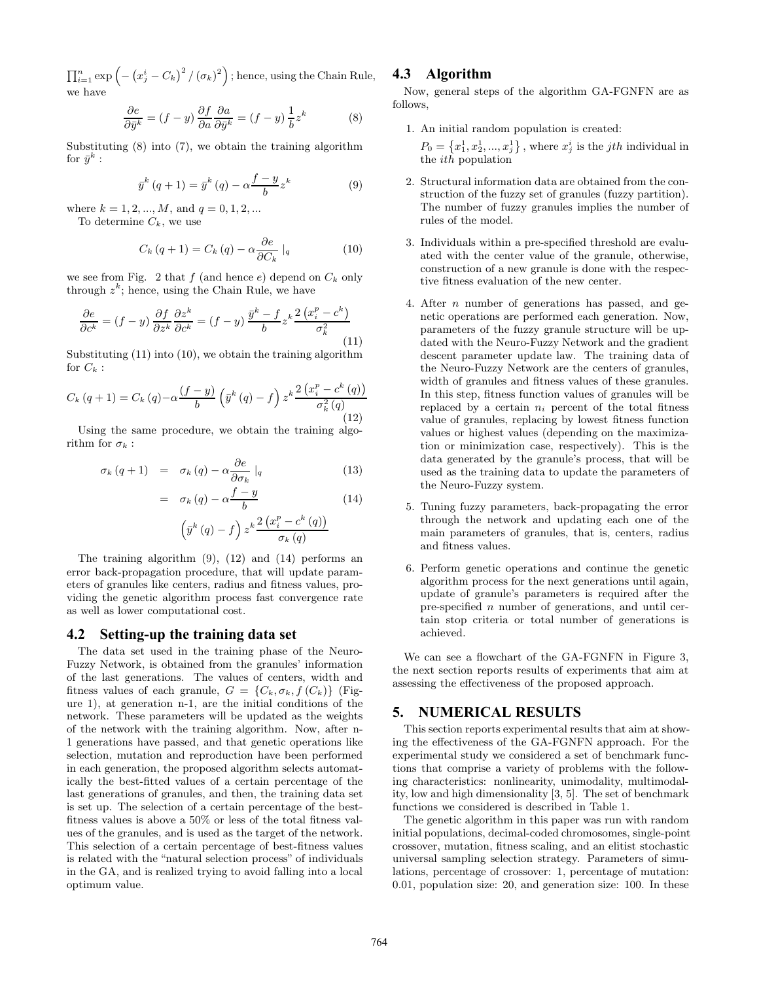$\prod_{i=1}^n \exp\left(-\left(x_j^i - C_k\right)^2 / \left(\sigma_k\right)^2\right);$  hence, using the Chain Rule, we have

$$
\frac{\partial e}{\partial \bar{y}^k} = (f - y) \frac{\partial f}{\partial a} \frac{\partial a}{\partial \bar{y}^k} = (f - y) \frac{1}{b} z^k \tag{8}
$$

Substituting (8) into (7), we obtain the training algorithm for  $\bar{y}^k$  :

$$
\bar{y}^{k} (q+1) = \bar{y}^{k} (q) - \alpha \frac{f-y}{b} z^{k}
$$
 (9)

where  $k = 1, 2, ..., M$ , and  $q = 0, 1, 2, ...$ 

To determine  $C_k$ , we use

$$
C_k (q+1) = C_k (q) - \alpha \frac{\partial e}{\partial C_k} \mid_q \tag{10}
$$

we see from Fig. 2 that f (and hence e) depend on  $C_k$  only through  $z^k$ ; hence, using the Chain Rule, we have

$$
\frac{\partial e}{\partial c^k} = (f - y) \frac{\partial f}{\partial z^k} \frac{\partial z^k}{\partial c^k} = (f - y) \frac{\bar{y}^k - f}{b} z^k \frac{2 (x_i^p - c^k)}{\sigma_k^2}
$$
\n(11)

Substituting  $(11)$  into  $(10)$ , we obtain the training algorithm for  $C_k$ :

$$
C_k(q+1) = C_k(q) - \alpha \frac{(f-y)}{b} \left(\bar{y}^k(q) - f\right) z^k \frac{2\left(x_i^p - c^k(q)\right)}{\sigma_k^2(q)}
$$
\n(12)

Using the same procedure, we obtain the training algorithm for  $\sigma_k$  :

$$
\sigma_k (q+1) = \sigma_k (q) - \alpha \frac{\partial e}{\partial \sigma_k} \mid_q \tag{13}
$$

$$
= \sigma_k(q) - \alpha \frac{f - y}{b} \tag{14}
$$
\n
$$
\left(\bar{y}^k(q) - f\right) z^k \frac{2\left(x_i^p - c^k(q)\right)}{b}
$$

 $\sigma_k\left(q\right)$ 

The training algorithm (9), (12) and (14) performs an error back-propagation procedure, that will update parameters of granules like centers, radius and fitness values, providing the genetic algorithm process fast convergence rate as well as lower computational cost.

## **4.2 Setting-up the training data set**

The data set used in the training phase of the Neuro-Fuzzy Network, is obtained from the granules' information of the last generations. The values of centers, width and fitness values of each granule,  $G = \{C_k, \sigma_k, f(C_k)\}\$  (Figure 1), at generation n-1, are the initial conditions of the network. These parameters will be updated as the weights of the network with the training algorithm. Now, after n-1 generations have passed, and that genetic operations like selection, mutation and reproduction have been performed in each generation, the proposed algorithm selects automatically the best-fitted values of a certain percentage of the last generations of granules, and then, the training data set is set up. The selection of a certain percentage of the bestfitness values is above a 50% or less of the total fitness values of the granules, and is used as the target of the network. This selection of a certain percentage of best-fitness values is related with the "natural selection process" of individuals in the GA, and is realized trying to avoid falling into a local optimum value.

# **4.3 Algorithm**

Now, general steps of the algorithm GA-FGNFN are as follows,

1. An initial random population is created:

 $P_0 = \{x_1^1, x_2^1, ..., x_j^1\}$ , where  $x_j^i$  is the *jth* individual in the  $ith$  population

- 2. Structural information data are obtained from the construction of the fuzzy set of granules (fuzzy partition). The number of fuzzy granules implies the number of rules of the model.
- 3. Individuals within a pre-specified threshold are evaluated with the center value of the granule, otherwise, construction of a new granule is done with the respective fitness evaluation of the new center.
- 4. After n number of generations has passed, and genetic operations are performed each generation. Now, parameters of the fuzzy granule structure will be updated with the Neuro-Fuzzy Network and the gradient descent parameter update law. The training data of the Neuro-Fuzzy Network are the centers of granules, width of granules and fitness values of these granules. In this step, fitness function values of granules will be replaced by a certain  $n_i$  percent of the total fitness value of granules, replacing by lowest fitness function values or highest values (depending on the maximization or minimization case, respectively). This is the data generated by the granule's process, that will be used as the training data to update the parameters of the Neuro-Fuzzy system.
- 5. Tuning fuzzy parameters, back-propagating the error through the network and updating each one of the main parameters of granules, that is, centers, radius and fitness values.
- 6. Perform genetic operations and continue the genetic algorithm process for the next generations until again, update of granule's parameters is required after the pre-specified n number of generations, and until certain stop criteria or total number of generations is achieved.

We can see a flowchart of the GA-FGNFN in Figure 3, the next section reports results of experiments that aim at assessing the effectiveness of the proposed approach.

#### **5. NUMERICAL RESULTS**

This section reports experimental results that aim at showing the effectiveness of the GA-FGNFN approach. For the experimental study we considered a set of benchmark functions that comprise a variety of problems with the following characteristics: nonlinearity, unimodality, multimodality, low and high dimensionality [3, 5]. The set of benchmark functions we considered is described in Table 1.

The genetic algorithm in this paper was run with random initial populations, decimal-coded chromosomes, single-point crossover, mutation, fitness scaling, and an elitist stochastic universal sampling selection strategy. Parameters of simulations, percentage of crossover: 1, percentage of mutation: 0.01, population size: 20, and generation size: 100. In these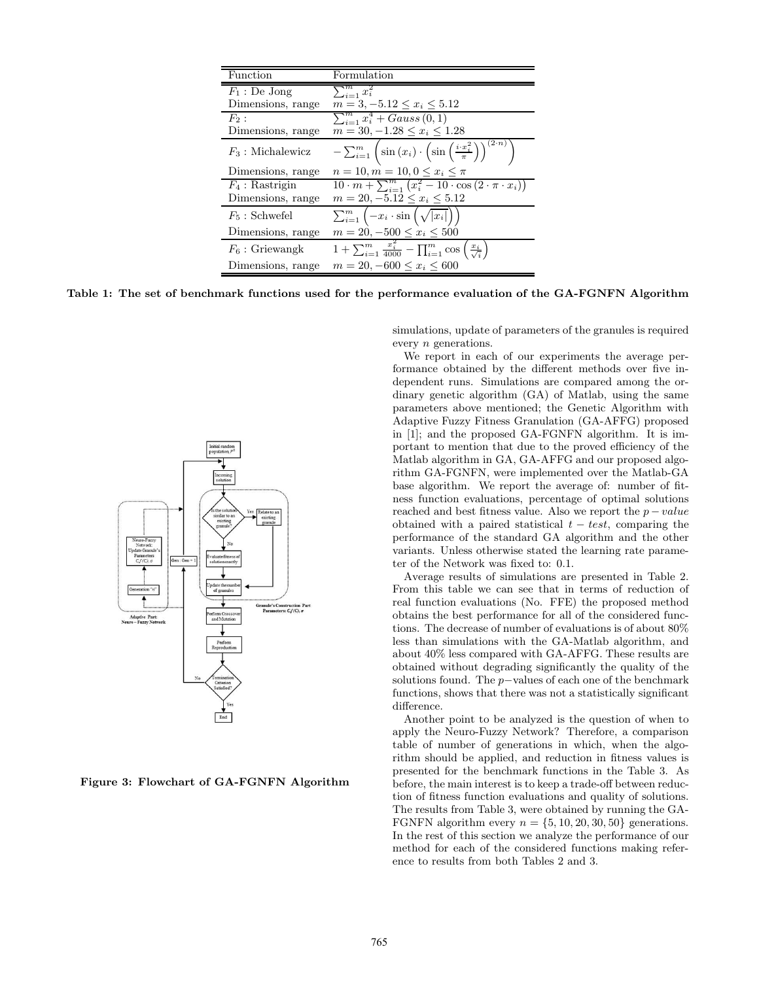| Function            | Formulation                                                                                                        |
|---------------------|--------------------------------------------------------------------------------------------------------------------|
| $F_1$ : De Jong     | $\sum_{i=1}^m x_i^2$                                                                                               |
| Dimensions, range   | $m = 3, -5.12 \leq x_i \leq 5.12$                                                                                  |
| $F_2$ :             | $\sum_{i=1}^{m} x_i^4 + Gauss(0, 1)$                                                                               |
| Dimensions, range   | $m = 30, -1.28 \leq x_i \leq 1.28$                                                                                 |
| $F_3$ : Michalewicz | $(2\cdot n)$<br>$-\sum_{i=1}^m \left(\sin(x_i)\cdot \left(\sin\left(\frac{i\cdot x_i^2}{\pi}\right)\right)\right)$ |
| Dimensions, range   | $n = 10, m = 10, 0 \le x_i \le \pi$                                                                                |
| $F_4$ : Rastrigin   | $10 \cdot m + \sum_{i=1}^{m} (x_i^2 - 10 \cdot \cos(2 \cdot \pi \cdot x_i))$                                       |
| Dimensions, range   | $m = 20, -5.12 \leq x_i \leq 5.12$                                                                                 |
| $F_5$ : Schwefel    | $\sum_{i=1}^m \left(-x_i \cdot \sin\left(\sqrt{ x_i }\right)\right)$                                               |
| Dimensions, range   | $m = 20, -500 \leq x_i \leq 500$                                                                                   |
| $F_6$ : Griewangk   | $1 + \sum_{i=1}^{m} \frac{x_i^2}{4000} - \prod_{i=1}^{m} \cos\left(\frac{x_i}{\sqrt{i}}\right)$                    |
| Dimensions, range   | $m = 20, -600 \le x_i \le 600$                                                                                     |

Table 1: The set of benchmark functions used for the performance evaluation of the GA-FGNFN Algorithm



Figure 3: Flowchart of GA-FGNFN Algorithm

simulations, update of parameters of the granules is required every n generations.

We report in each of our experiments the average performance obtained by the different methods over five independent runs. Simulations are compared among the ordinary genetic algorithm (GA) of Matlab, using the same parameters above mentioned; the Genetic Algorithm with Adaptive Fuzzy Fitness Granulation (GA-AFFG) proposed in [1]; and the proposed GA-FGNFN algorithm. It is important to mention that due to the proved efficiency of the Matlab algorithm in GA, GA-AFFG and our proposed algorithm GA-FGNFN, were implemented over the Matlab-GA base algorithm. We report the average of: number of fitness function evaluations, percentage of optimal solutions reached and best fitness value. Also we report the  $p-value$ obtained with a paired statistical  $t - test$ , comparing the performance of the standard GA algorithm and the other variants. Unless otherwise stated the learning rate parameter of the Network was fixed to: 0.1.

Average results of simulations are presented in Table 2. From this table we can see that in terms of reduction of real function evaluations (No. FFE) the proposed method obtains the best performance for all of the considered functions. The decrease of number of evaluations is of about 80% less than simulations with the GA-Matlab algorithm, and about 40% less compared with GA-AFFG. These results are obtained without degrading significantly the quality of the solutions found. The p−values of each one of the benchmark functions, shows that there was not a statistically significant difference.

Another point to be analyzed is the question of when to apply the Neuro-Fuzzy Network? Therefore, a comparison table of number of generations in which, when the algorithm should be applied, and reduction in fitness values is presented for the benchmark functions in the Table 3. As before, the main interest is to keep a trade-off between reduction of fitness function evaluations and quality of solutions. The results from Table 3, were obtained by running the GA-FGNFN algorithm every  $n = \{5, 10, 20, 30, 50\}$  generations. In the rest of this section we analyze the performance of our method for each of the considered functions making reference to results from both Tables 2 and 3.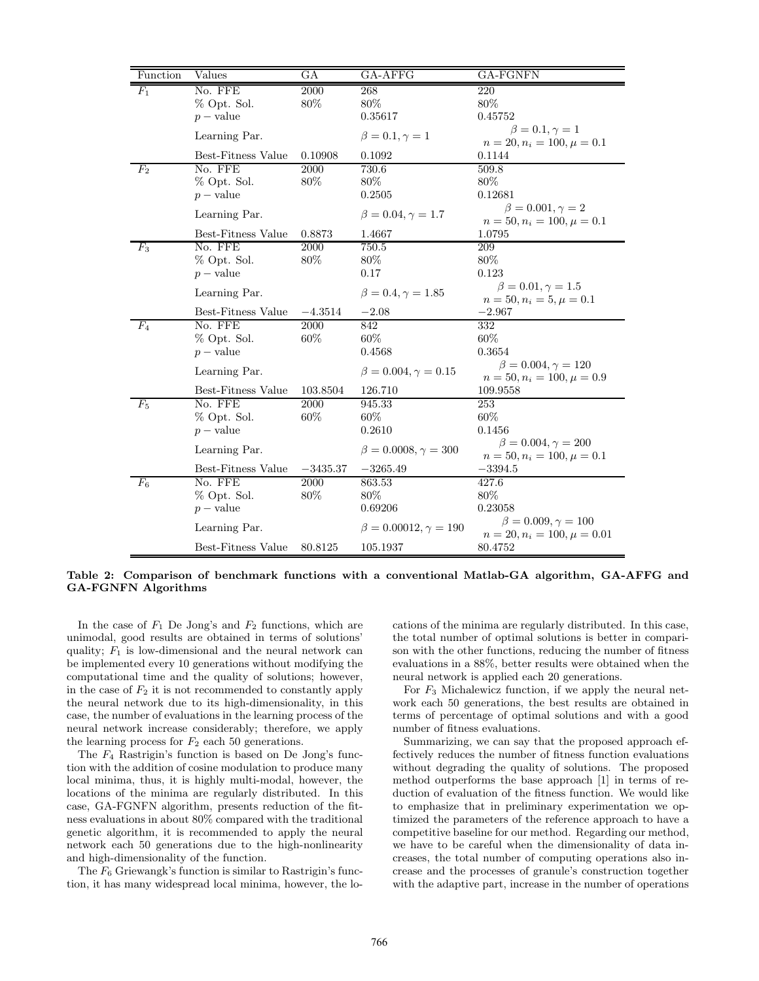| Function | Values             | GА         | GA-AFFG                         | GA-FGNFN                                                         |
|----------|--------------------|------------|---------------------------------|------------------------------------------------------------------|
| $F_1$    | No. FFE            | 2000       | 268                             | 220                                                              |
|          | % Opt. Sol.        | 80%        | 80%                             | 80%                                                              |
|          | $p$ – value        |            | 0.35617                         | 0.45752                                                          |
|          | Learning Par.      |            | $\beta = 0.1, \gamma = 1$       | $\beta = 0.1, \gamma = 1$<br>$n = 20, n_i = 100, \mu = 0.1$      |
|          | Best-Fitness Value | 0.10908    | 0.1092                          | 0.1144                                                           |
| $F_2$    | No. FFE            | 2000       | 730.6                           | 509.8                                                            |
|          | % Opt. Sol.        | 80%        | 80%                             | 80%                                                              |
|          | $p$ – value        |            | 0.2505                          | 0.12681                                                          |
|          | Learning Par.      |            | $\beta = 0.04, \gamma = 1.7$    | $\beta = 0.001, \gamma = 2$                                      |
|          | Best-Fitness Value | 0.8873     | 1.4667                          | $n = 50, n_i = 100, \mu = 0.1$<br>1.0795                         |
| $F_3$    | No. FFE            | 2000       | 750.5                           | 209                                                              |
|          | % Opt. Sol.        | 80%        | 80%                             | 80%                                                              |
|          | $p$ – value        |            | 0.17                            | 0.123                                                            |
|          | Learning Par.      |            | $\beta = 0.4, \gamma = 1.85$    | $\beta = 0.01, \gamma = 1.5$<br>$n = 50, n_i = 5, \mu = 0.1$     |
|          | Best-Fitness Value | $-4.3514$  | $-2.08$                         | $-2.967$                                                         |
| $F_4$    | No. FFE            | 2000       | 842                             | 332                                                              |
|          | % Opt. Sol.        | 60%        | 60%                             | 60%                                                              |
|          | $p$ – value        |            | 0.4568                          | 0.3654                                                           |
|          | Learning Par.      |            | $\beta = 0.004, \gamma = 0.15$  | $\beta = 0.004, \gamma = 120$<br>$n = 50, n_i = 100, \mu = 0.9$  |
|          | Best-Fitness Value | 103.8504   | 126.710                         | 109.9558                                                         |
| $F_5$    | No. FFE            | 2000       | 945.33                          | 253                                                              |
|          | % Opt. Sol.        | 60%        | 60%                             | 60%                                                              |
|          | $p$ – value        |            | 0.2610                          | 0.1456                                                           |
|          | Learning Par.      |            | $\beta = 0.0008, \gamma = 300$  | $\beta = 0.004, \gamma = 200$<br>$n = 50, n_i = 100, \mu = 0.1$  |
|          | Best-Fitness Value | $-3435.37$ | $-3265.49$                      | $-3394.5$                                                        |
| $\,F_6$  | No. FFE            | 2000       | 863.53                          | 427.6                                                            |
|          | % Opt. Sol.        | 80%        | 80%                             | 80%                                                              |
|          | $p$ – value        |            | 0.69206                         | 0.23058                                                          |
|          | Learning Par.      |            | $\beta = 0.00012, \gamma = 190$ | $\beta = 0.009, \gamma = 100$<br>$n = 20, n_i = 100, \mu = 0.01$ |
|          | Best-Fitness Value | 80.8125    | 105.1937                        | 80.4752                                                          |

Table 2: Comparison of benchmark functions with a conventional Matlab-GA algorithm, GA-AFFG and GA-FGNFN Algorithms

In the case of  $F_1$  De Jong's and  $F_2$  functions, which are unimodal, good results are obtained in terms of solutions' quality;  $F_1$  is low-dimensional and the neural network can be implemented every 10 generations without modifying the computational time and the quality of solutions; however, in the case of  $F_2$  it is not recommended to constantly apply the neural network due to its high-dimensionality, in this case, the number of evaluations in the learning process of the neural network increase considerably; therefore, we apply the learning process for  $F_2$  each 50 generations.

The  $F_4$  Rastrigin's function is based on De Jong's function with the addition of cosine modulation to produce many local minima, thus, it is highly multi-modal, however, the locations of the minima are regularly distributed. In this case, GA-FGNFN algorithm, presents reduction of the fitness evaluations in about 80% compared with the traditional genetic algorithm, it is recommended to apply the neural network each 50 generations due to the high-nonlinearity and high-dimensionality of the function.

The  $F_6$  Griewangk's function is similar to Rastrigin's function, it has many widespread local minima, however, the locations of the minima are regularly distributed. In this case, the total number of optimal solutions is better in comparison with the other functions, reducing the number of fitness evaluations in a 88%, better results were obtained when the neural network is applied each 20 generations.

For  $F_3$  Michalewicz function, if we apply the neural network each 50 generations, the best results are obtained in terms of percentage of optimal solutions and with a good number of fitness evaluations.

Summarizing, we can say that the proposed approach effectively reduces the number of fitness function evaluations without degrading the quality of solutions. The proposed method outperforms the base approach [1] in terms of reduction of evaluation of the fitness function. We would like to emphasize that in preliminary experimentation we optimized the parameters of the reference approach to have a competitive baseline for our method. Regarding our method, we have to be careful when the dimensionality of data increases, the total number of computing operations also increase and the processes of granule's construction together with the adaptive part, increase in the number of operations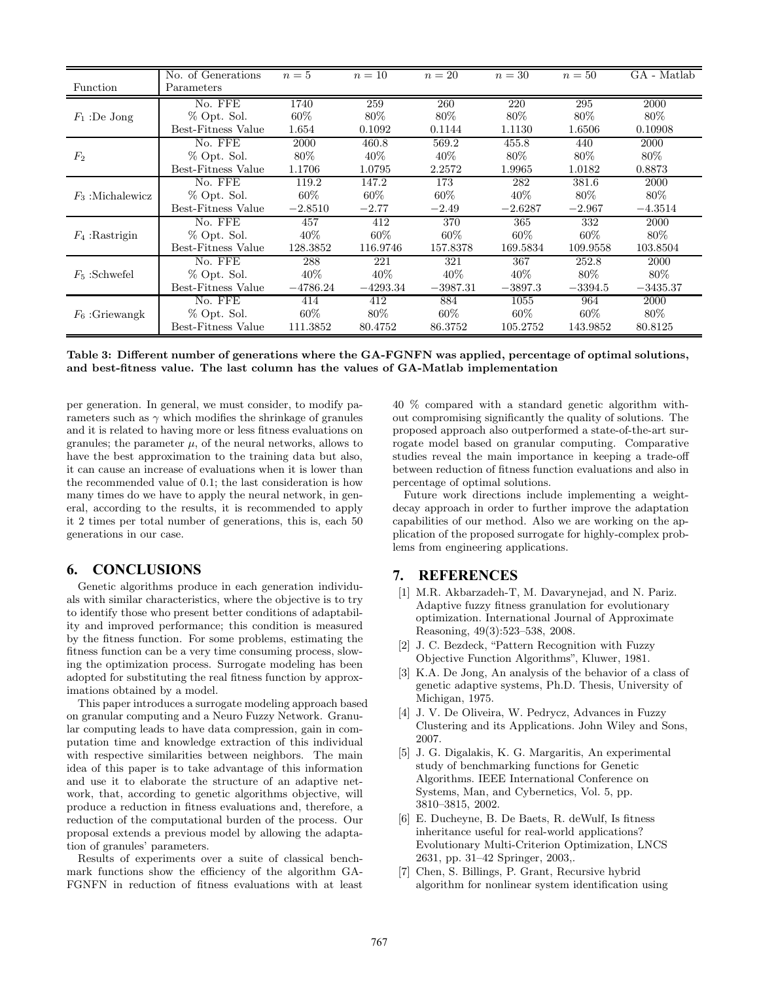|                    | No. of Generations | $n=5$      | $n=10$     | $n=20$     | $n=30$    | $n=50$    | GA - Matlab |
|--------------------|--------------------|------------|------------|------------|-----------|-----------|-------------|
| Function           | Parameters         |            |            |            |           |           |             |
| $F_1$ :De Jong     | No. FFE            | 1740       | 259        | 260        | 220       | 295       | 2000        |
|                    | % Opt. Sol.        | $60\%$     | $80\%$     | $80\%$     | $80\%$    | $80\%$    | $80\%$      |
|                    | Best-Fitness Value | 1.654      | 0.1092     | 0.1144     | 1.1130    | 1.6506    | 0.10908     |
| $F_2$              | No. FFE            | 2000       | 460.8      | 569.2      | 455.8     | 440       | 2000        |
|                    | % Opt. Sol.        | 80%        | $40\%$     | 40\%       | $80\%$    | $80\%$    | $80\%$      |
|                    | Best-Fitness Value | 1.1706     | 1.0795     | 2.2572     | 1.9965    | 1.0182    | 0.8873      |
| $F_3$ :Michalewicz | No. FFE            | 119.2      | 147.2      | 173        | 282       | 381.6     | 2000        |
|                    | % Opt. Sol.        | 60%        | $60\%$     | $60\%$     | $40\%$    | $80\%$    | 80\%        |
|                    | Best-Fitness Value | $-2.8510$  | $-2.77$    | $-2.49$    | $-2.6287$ | $-2.967$  | $-4.3514$   |
| $F_4$ : Rastrigin  | No. FFE            | 457        | 412        | 370        | 365       | 332       | 2000        |
|                    | % Opt. Sol.        | $40\%$     | $60\%$     | $60\%$     | $60\%$    | $60\%$    | $80\%$      |
|                    | Best-Fitness Value | 128.3852   | 116.9746   | 157.8378   | 169.5834  | 109.9558  | 103.8504    |
| $F_5$ : Schwefel   | No. FFE            | 288        | 221        | 321        | 367       | 252.8     | 2000        |
|                    | % Opt. Sol.        | 40%        | $40\%$     | $40\%$     | $40\%$    | 80\%      | $80\%$      |
|                    | Best-Fitness Value | $-4786.24$ | $-4293.34$ | $-3987.31$ | $-3897.3$ | $-3394.5$ | $-3435.37$  |
| $F_6$ : Griewangk  | No. FFE            | 414        | 412        | 884        | 1055      | 964       | 2000        |
|                    | % Opt. Sol.        | $60\%$     | 80\%       | $60\%$     | $60\%$    | $60\%$    | 80\%        |
|                    | Best-Fitness Value | 111.3852   | 80.4752    | 86.3752    | 105.2752  | 143.9852  | 80.8125     |

Table 3: Different number of generations where the GA-FGNFN was applied, percentage of optimal solutions, and best-fitness value. The last column has the values of GA-Matlab implementation

per generation. In general, we must consider, to modify parameters such as  $\gamma$  which modifies the shrinkage of granules and it is related to having more or less fitness evaluations on granules; the parameter  $\mu$ , of the neural networks, allows to have the best approximation to the training data but also, it can cause an increase of evaluations when it is lower than the recommended value of 0.1; the last consideration is how many times do we have to apply the neural network, in general, according to the results, it is recommended to apply it 2 times per total number of generations, this is, each 50 generations in our case.

# **6. CONCLUSIONS**

Genetic algorithms produce in each generation individuals with similar characteristics, where the objective is to try to identify those who present better conditions of adaptability and improved performance; this condition is measured by the fitness function. For some problems, estimating the fitness function can be a very time consuming process, slowing the optimization process. Surrogate modeling has been adopted for substituting the real fitness function by approximations obtained by a model.

This paper introduces a surrogate modeling approach based on granular computing and a Neuro Fuzzy Network. Granular computing leads to have data compression, gain in computation time and knowledge extraction of this individual with respective similarities between neighbors. The main idea of this paper is to take advantage of this information and use it to elaborate the structure of an adaptive network, that, according to genetic algorithms objective, will produce a reduction in fitness evaluations and, therefore, a reduction of the computational burden of the process. Our proposal extends a previous model by allowing the adaptation of granules' parameters.

Results of experiments over a suite of classical benchmark functions show the efficiency of the algorithm GA-FGNFN in reduction of fitness evaluations with at least

40 % compared with a standard genetic algorithm without compromising significantly the quality of solutions. The proposed approach also outperformed a state-of-the-art surrogate model based on granular computing. Comparative studies reveal the main importance in keeping a trade-off between reduction of fitness function evaluations and also in percentage of optimal solutions.

Future work directions include implementing a weightdecay approach in order to further improve the adaptation capabilities of our method. Also we are working on the application of the proposed surrogate for highly-complex problems from engineering applications.

## **7. REFERENCES**

- [1] M.R. Akbarzadeh-T, M. Davarynejad, and N. Pariz. Adaptive fuzzy fitness granulation for evolutionary optimization. International Journal of Approximate Reasoning, 49(3):523–538, 2008.
- [2] J. C. Bezdeck, "Pattern Recognition with Fuzzy Objective Function Algorithms", Kluwer, 1981.
- [3] K.A. De Jong, An analysis of the behavior of a class of genetic adaptive systems, Ph.D. Thesis, University of Michigan, 1975.
- [4] J. V. De Oliveira, W. Pedrycz, Advances in Fuzzy Clustering and its Applications. John Wiley and Sons, 2007.
- [5] J. G. Digalakis, K. G. Margaritis, An experimental study of benchmarking functions for Genetic Algorithms. IEEE International Conference on Systems, Man, and Cybernetics, Vol. 5, pp. 3810–3815, 2002.
- [6] E. Ducheyne, B. De Baets, R. deWulf, Is fitness inheritance useful for real-world applications? Evolutionary Multi-Criterion Optimization, LNCS 2631, pp. 31–42 Springer, 2003,.
- [7] Chen, S. Billings, P. Grant, Recursive hybrid algorithm for nonlinear system identification using